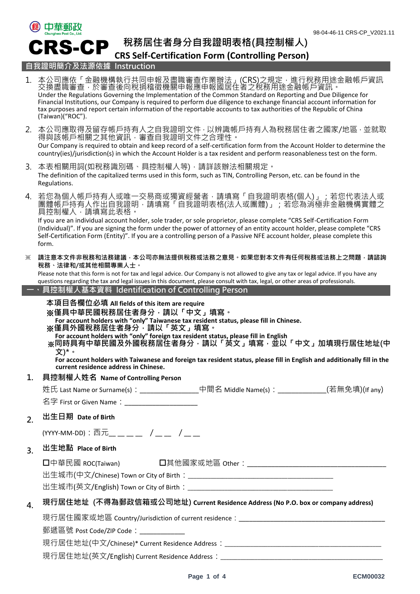

**稅務居住者身分自我證明表格(具控制權人)**

**CRS Self-Certification Form (Controlling Person)**

1. 本公司應依「金融機構執行共同申報及盡職審查作業辦法」(CRS)之規定,進行稅務用途金融帳戶資訊

#### **自我證明簡介及法源依據 Instruction**

交換盡職審查,於審查後向稅捐稽徵機關申報應申報國居住者之稅務用途金融帳戶資訊。 Under the Regulations Governing the Implementation of the Common Standard on Reporting and Due Diligence for Financial Institutions, our Company is required to perform due diligence to exchange financial account information for tax purposes and report certain information of the reportable accounts to tax authorities of the Republic of China (Taiwan)("ROC"). 2. 本公司應取得及留存帳戶持有人之自我證明文件,以辨識帳戶持有人為稅務居住者之國家/地區,並就取 得與該帳戶相關之其他資訊,審查自我證明文件之合理性。 Our Company is required to obtain and keep record of a self-certification form from the Account Holder to determine the country(ies)/jurisdiction(s) in which the Account Holder is a tax resident and perform reasonableness test on the form. 3. 本表相關用詞(如稅務識別碼、具控制權人等),請詳該辦法相關規定。 The definition of the capitalized terms used in this form, such as TIN, Controlling Person, etc. can be found in the Regulations. 4. 若您為個人帳戶持有人或唯一交易商或獨資經營者,請填寫「自我證明表格(個人)」;若您代表法人或 團體帳戶持有人作出自我證明,請填寫「自我證明表格(法人或團體)」;若您為消極非金融機構實體之 具控制權人,請填寫此表格。 If you are an individual account holder, sole trader, or sole proprietor, please complete "CRS Self-Certification Form (Individual)". If you are signing the form under the power of attorney of an entity account holder, please complete "CRS Self-Certification Form (Entity)". If you are a controlling person of a Passive NFE account holder, please complete this form. ※ **請注意本文件非稅務和法務建議,本公司亦無法提供稅務或法務之意見。如果您對本文件有任何稅務或法務上之問題,請諮詢 稅務、法律和/或其他相關專業人士。** Please note that this form is not for tax and legal advice. Our Company is not allowed to give any tax or legal advice. If you have any questions regarding the tax and legal issues in this document, please consult with tax, legal, or other areas of professionals. **一、 具控制權人基本資料 Identification of Controlling Person 本項目各欄位必填 All fields of this item are require** ※**僅具中華民國稅務居住者身分,請以「中文」填寫。 For account holders with "only" Taiwanese tax resident status, please fill in Chinese.**  ※**僅具外國稅務居住者身分,請以「英文」填寫。 For account holders with "only" foreign tax resident status, please fill in English** ※**同時具有中華民國及外國稅務居住者身分,請以「英文」填寫,並以「中文」加填現行居住地址(中 文)\*。 For account holders with Taiwanese and foreign tax resident status, please fill in English and additionally fill in the current residence address in Chinese. 1. 具控制權人姓名 Name of Controlling Person** 姓氏 Last Name or Surname(s):\_\_\_\_\_\_\_\_\_\_\_\_\_\_\_\_\_\_\_中間名 Middle Name(s):\_\_\_\_\_\_\_\_\_\_\_\_\_\_(若無免填)(If any) 名字 First or Given Name: **2. 出生日期 Date of Birth** (YYYY-MM-DD):西元\_\_ \_\_ \_\_ \_\_ / \_\_ \_\_ / \_\_ \_\_ **3. 出生地點 Place of Birth** 中華民國 ROC(Taiwan) 其他國家或地區 Other:\_\_\_\_\_\_\_\_\_\_\_\_\_\_\_\_\_\_\_\_\_\_\_\_\_\_\_\_\_\_\_\_\_\_\_\_\_\_\_\_ 出生城市(中文/Chinese) Town or City of Birth: 出生城市(英文/English) Town or City of Birth:\_\_\_\_\_\_\_\_\_\_\_\_\_\_\_\_\_\_\_\_\_\_\_\_\_\_\_\_\_\_\_\_\_\_\_\_\_\_\_\_\_\_\_\_\_\_\_\_\_\_\_ **4. 現行居住地址 (不得為郵政信箱或公司地址) Current Residence Address (No P.O. box or company address)** 現行居住國家或地區 Country/Jurisdiction of current residence: \_\_\_\_\_\_\_\_\_\_\_\_\_\_\_\_\_\_\_\_\_\_\_\_\_\_\_ 郵遞區號 Post Code/ZIP Code: 現行居住地址(中文/Chinese)\* Current Residence Address: 現行居住地址(英文/English) Current Residence Address:\_\_\_\_\_\_\_\_\_\_\_\_\_\_\_\_\_\_\_\_\_\_\_\_\_\_\_\_\_\_\_\_\_\_\_\_\_\_\_\_\_\_\_\_\_\_\_\_\_\_\_\_\_\_\_\_\_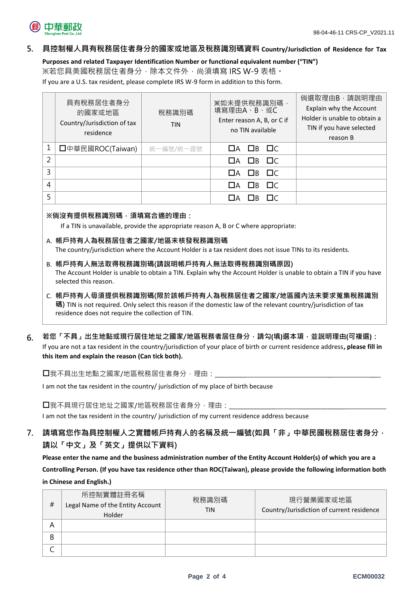

#### **5. 具控制權人具有稅務居住者身分的國家或地區及稅務識別碼資料 Country/Jurisdiction of Residence for Tax**

**Purposes and related Taxpayer Identification Number or functional equivalent number ("TIN")**

※若您具美國稅務居住者身分,除本文件外,尚須填寫 IRS W-9 表格。

If you are a U.S. tax resident, please complete IRS W-9 form in addition to this form.

|   | 具有稅務居住者身分<br>的國家或地區<br>Country/Jurisdiction of tax<br>residence | 稅務識別碼<br><b>TIN</b> | ※如未提供稅務識別碼,<br>填寫理由A、B、或C<br>Enter reason A, B, or C if<br>no TIN available | 倘選取理由B,請說明理由<br>Explain why the Account<br>Holder is unable to obtain a<br>TIN if you have selected<br>reason B |
|---|-----------------------------------------------------------------|---------------------|-----------------------------------------------------------------------------|-----------------------------------------------------------------------------------------------------------------|
| 1 | □中華民國ROC(Taiwan)                                                | 統一編號/統一證號           | $\Box A$ $\Box B$ $\Box C$                                                  |                                                                                                                 |
| 2 |                                                                 |                     | ПА ПВ ПС                                                                    |                                                                                                                 |
| 3 |                                                                 |                     | $\Box$ B $\Box$ C<br>$\Box$ A                                               |                                                                                                                 |
| 4 |                                                                 |                     | $\Box$ B $\Box$ C<br>$\Box$ A                                               |                                                                                                                 |
| 5 |                                                                 |                     | ٦B.<br><b>TIC</b>                                                           |                                                                                                                 |

#### **※倘沒有提供稅務識別碼,須填寫合適的理由:**

If a TIN is unavailable, provide the appropriate reason A, B or C where appropriate:

A. **帳戶持有人為稅務居住者之國家/地區未核發稅務識別碼**

The country/jurisdiction where the Account Holder is a tax resident does not issue TINs to its residents.

- B. **帳戶持有人無法取得稅務識別碼(請說明帳戶持有人無法取得稅務識別碼原因)** The Account Holder is unable to obtain a TIN. Explain why the Account Holder is unable to obtain a TIN if you have selected this reason.
- C. **帳戶持有人毋須提供稅務識別碼(限於該帳戶持有人為稅務居住者之國家/地區國內法未要求蒐集稅務識別 碼)** TIN is not required. Only select this reason if the domestic law of the relevant country/jurisdiction of tax residence does not require the collection of TIN.
- **6. 若您「不具」出生地點或現行居住地址之國家/地區稅務者居住身分,請勾(填)選本項,並說明理由(可複選):** If you are not a tax resident in the country/jurisdiction of your place of birth or current residence address**, please fill in this item and explain the reason (Can tick both).**

口我不具出生地點之國家/地區稅務居住者身分,理由:

I am not the tax resident in the country/ jurisdiction of my place of birth because

口我不具現行居住地址之國家/地區稅務居住者身分,理由:

I am not the tax resident in the country/ jurisdiction of my current residence address because

**7. 請填寫您作為具控制權人之實體帳戶持有人的名稱及統一編號(如具「非」中華民國稅務居住者身分, 請以「中文」及「英文」提供以下資料)**

**Please enter the name and the business administration number of the Entity Account Holder(s) of which you are a Controlling Person. (If you have tax residence other than ROC(Taiwan), please provide the following information both in Chinese and English.)**

| # | 所控制實體註冊名稱<br>Legal Name of the Entity Account<br>Holder | 稅務識別碼<br>TIN | 現行營業國家或地區<br>Country/Jurisdiction of current residence |
|---|---------------------------------------------------------|--------------|--------------------------------------------------------|
| A |                                                         |              |                                                        |
| B |                                                         |              |                                                        |
|   |                                                         |              |                                                        |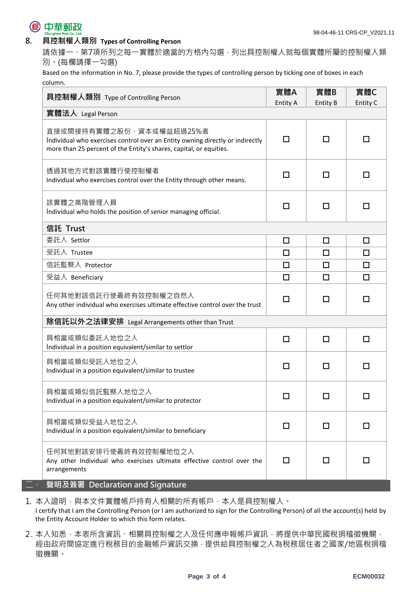

### **8. 具控制權人類別 Types of Controlling Person**

請依據一、第7項所列之每一實體於適當的方格內勾選,列出具控制權人就每個實體所屬的控制權人類 別。(每欄請擇一勾選)

Based on the information in No. 7, please provide the types of controlling person by ticking one of boxes in each column.

| 具控制權人類別 Type of Controlling Person                                                                                                                                              | 實體A<br><b>Entity A</b> | 實體B<br><b>Entity B</b> | 實體C<br>Entity C |
|---------------------------------------------------------------------------------------------------------------------------------------------------------------------------------|------------------------|------------------------|-----------------|
| 實體法人 Legal Person                                                                                                                                                               |                        |                        |                 |
| 直接或間接持有實體之股份、資本或權益超過25%者<br>Individual who exercises control over an Entity owning directly or indirectly<br>more than 25 percent of the Entity's shares, capital, or equities. | □                      | П                      |                 |
| 透過其他方式對該實體行使控制權者<br>Individual who exercises control over the Entity through other means.                                                                                       | п                      | П                      | П               |
| 該實體之高階管理人員<br>Individual who holds the position of senior managing official.                                                                                                    | □                      | □                      | П               |
| 信託 Trust                                                                                                                                                                        |                        |                        |                 |
| 委託人 Settlor                                                                                                                                                                     | $\Box$                 | $\Box$                 | □               |
| 受託人 Trustee                                                                                                                                                                     | □                      | □                      | □               |
| 信託監察人 Protector                                                                                                                                                                 | $\Box$                 | $\Box$                 | $\Box$          |
| 受益人 Beneficiary                                                                                                                                                                 | $\Box$                 | $\Box$                 | $\Box$          |
| 任何其他對該信託行使最終有效控制權之自然人<br>Any other individual who exercises ultimate effective control over the trust                                                                           | □                      | П                      | П               |
| 除信託以外之法律安排 Legal Arrangements other than Trust                                                                                                                                  |                        |                        |                 |
| 具相當或類似委託人地位之人<br>Individual in a position equivalent/similar to settlor                                                                                                         | □                      | □                      | □               |
| 具相當或類似受託人地位之人<br>Individual in a position equivalent/similar to trustee                                                                                                         | □                      | □                      | П               |
| 具相當或類似信託監察人地位之人<br>Individual in a position equivalent/similar to protector                                                                                                     | □                      | □                      | П               |
| 具相當或類似受益人地位之人<br>Individual in a position equivalent/similar to beneficiary                                                                                                     | □                      | □                      | П               |
| 任何其他對該安排行使最終有效控制權地位之人<br>Any other Individual who exercises ultimate effective control over the<br>arrangements                                                                 | п<br>□                 |                        | П               |

1. 本人證明,與本文件實體帳戶持有人相關的所有帳戶,本人是具控制權人。 I certify that I am the Controlling Person (or I am authorized to sign for the Controlling Person) of all the account(s) held by the Entity Account Holder to which this form relates.

2. 本人知悉,本表所含資訊、相關具控制權之人及任何應申報帳戶資訊,將提供中華民國稅捐稽徵機關, 經由政府間協定進行稅務目的金融帳戶資訊交換,提供給具控制權之人為稅務居住者之國家/地區稅捐稽 徵機關。